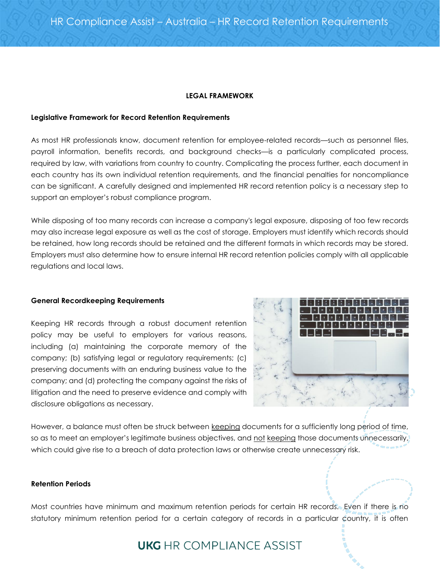### **LEGAL FRAMEWORK**

### **Legislative Framework for Record Retention Requirements**

As most HR professionals know, document retention for employee-related records—such as personnel files, payroll information, benefits records, and background checks—is a particularly complicated process, required by law, with variations from country to country. Complicating the process further, each document in each country has its own individual retention requirements, and the financial penalties for noncompliance can be significant. A carefully designed and implemented HR record retention policy is a necessary step to support an employer's robust compliance program.

While disposing of too many records can increase a company's legal exposure, disposing of too few records may also increase legal exposure as well as the cost of storage. Employers must identify which records should be retained, how long records should be retained and the different formats in which records may be stored. Employers must also determine how to ensure internal HR record retention policies comply with all applicable regulations and local laws.

#### **General Recordkeeping Requirements**

Keeping HR records through a robust document retention policy may be useful to employers for various reasons, including (a) maintaining the corporate memory of the company; (b) satisfying legal or regulatory requirements; (c) preserving documents with an enduring business value to the company; and (d) protecting the company against the risks of litigation and the need to preserve evidence and comply with disclosure obligations as necessary.



However, a balance must often be struck between keeping documents for a sufficiently long period of time, so as to meet an employer's legitimate business objectives, and not keeping those documents unnecessarily, which could give rise to a breach of data protection laws or otherwise create unnecessary risk.

### **Retention Periods**

Most countries have minimum and maximum retention periods for certain HR records. Even if there is no statutory minimum retention period for a certain category of records in a particular country, it is often

# **UKG** HR COMPLIANCE ASSIST